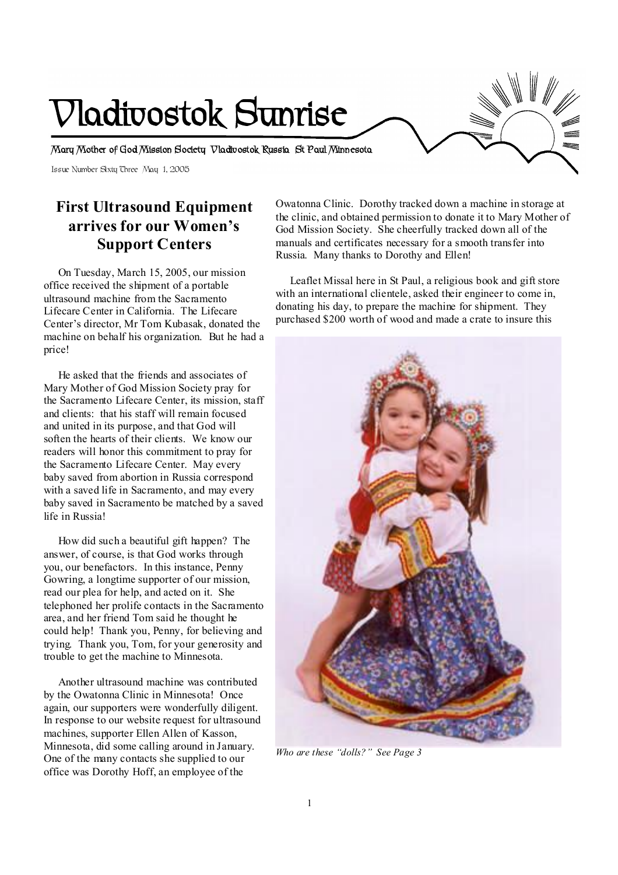# **Vladivostok Sunrise**

**Mary Mother of God Mission Society Vladivostok Russia St Paul Minnesota** 

Issue Number Sixty Three May 1, 2005

# **First Ultrasound Equipment arrives for our Women's Support Centers**

 On Tuesday, March 15, 2005, our mission office received the shipment of a portable ultrasound machine from the Sacramento Lifecare Center in California. The Lifecare Center's director, Mr Tom Kubasak, donated the machine on behalf his organization. But he had a price!

 He asked that the friends and associates of Mary Mother of God Mission Society pray for the Sacramento Lifecare Center, its mission, staff and clients: that his staff will remain focused and united in its purpose, and that God will soften the hearts of their clients. We know our readers will honor this commitment to pray for the Sacramento Lifecare Center. May every baby saved from abortion in Russia correspond with a saved life in Sacramento, and may every baby saved in Sacramento be matched by a saved life in Russia!

 How did such a beautiful gift happen? The answer, of course, is that God works through you, our benefactors. In this instance, Penny Gowring, a longtime supporter of our mission, read our plea for help, and acted on it. She telephoned her prolife contacts in the Sacramento area, and her friend Tom said he thought he could help! Thank you, Penny, for believing and trying. Thank you, Tom, for your generosity and trouble to get the machine to Minnesota.

 Another ultrasound machine was contributed by the Owatonna Clinic in Minnesota! Once again, our supporters were wonderfully diligent. In response to our website request for ultrasound machines, supporter Ellen Allen of Kasson, Minnesota, did some calling around in January. One of the many contacts she supplied to our office was Dorothy Hoff, an employee of the

Owatonna Clinic. Dorothy tracked down a machine in storage at the clinic, and obtained permission to donate it to Mary Mother of God Mission Society. She cheerfully tracked down all of the manuals and certificates necessary for a smooth transfer into Russia. Many thanks to Dorothy and Ellen!

 Leaflet Missal here in St Paul, a religious book and gift store with an international clientele, asked their engineer to come in, donating his day, to prepare the machine for shipment. They purchased \$200 worth of wood and made a crate to insure this



*Who are these "dolls?" See Page 3*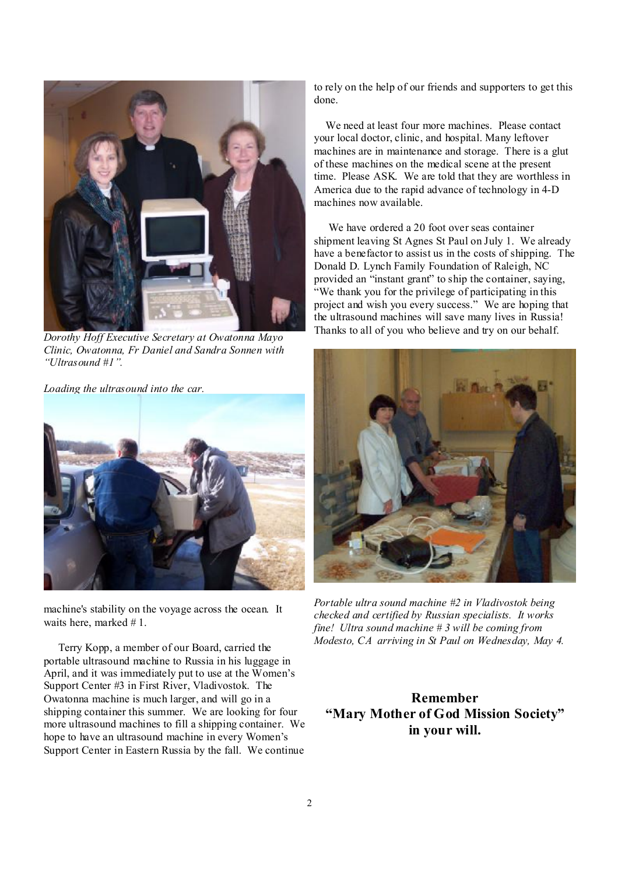

*Dorothy Hoff Executive Secretary at Owatonna Mayo Clinic, Owatonna, Fr Daniel and Sandra Sonnen with "Ultrasound #1".* 

*Loading the ultrasound into the car.* 



machine's stability on the voyage across the ocean. It waits here, marked #1.

 Terry Kopp, a member of our Board, carried the portable ultrasound machine to Russia in his luggage in April, and it was immediately put to use at the Women's Support Center #3 in First River, Vladivostok. The Owatonna machine is much larger, and will go in a shipping container this summer. We are looking for four more ultrasound machines to fill a shipping container. We hope to have an ultrasound machine in every Women's Support Center in Eastern Russia by the fall. We continue

to rely on the help of our friends and supporters to get this done.

 We need at least four more machines. Please contact your local doctor, clinic, and hospital. Many leftover machines are in maintenance and storage. There is a glut of these machines on the medical scene at the present time. Please ASK. We are told that they are worthless in America due to the rapid advance of technology in 4-D machines now available.

 We have ordered a 20 foot over seas container shipment leaving St Agnes St Paul on July 1. We already have a benefactor to assist us in the costs of shipping. The Donald D. Lynch Family Foundation of Raleigh, NC provided an "instant grant" to ship the container, saying, "We thank you for the privilege of participating in this project and wish you every success." We are hoping that the ultrasound machines will save many lives in Russia! Thanks to all of you who believe and try on our behalf.



*Portable ultra sound machine #2 in Vladivostok being checked and certified by Russian specialists. It works fine! Ultra sound machine # 3 will be coming from Modesto, CA arriving in St Paul on Wednesday, May 4.*

**Remember "Mary Mother of God Mission Society" in your will.**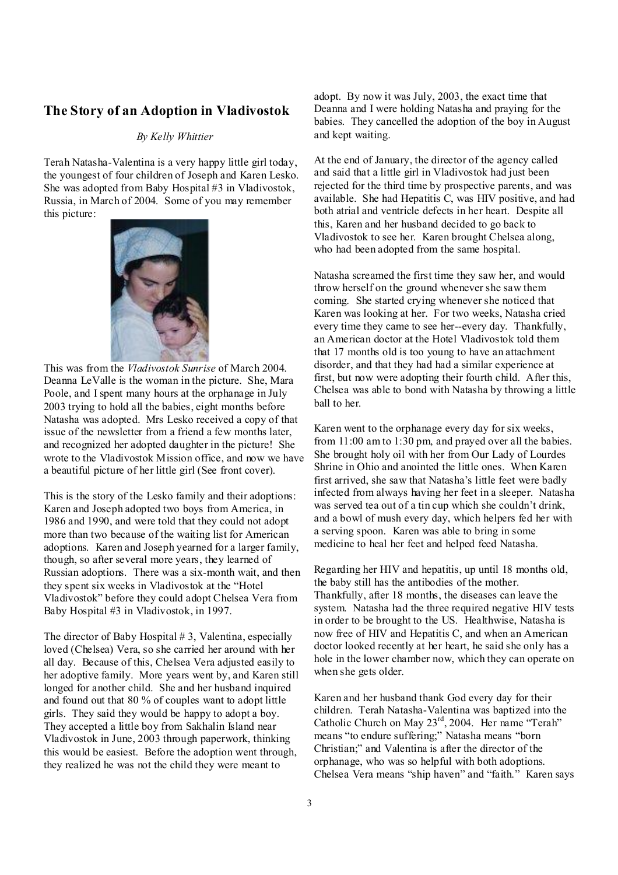#### **The Story of an Adoption in Vladivostok**

#### *By Kelly Whittier*

Terah Natasha-Valentina is a very happy little girl today, the youngest of four children of Joseph and Karen Lesko. She was adopted from Baby Hospital #3 in Vladivostok, Russia, in March of 2004. Some of you may remember this picture:



This was from the *Vladivostok Sunrise* of March 2004. Deanna LeValle is the woman in the picture. She, Mara Poole, and I spent many hours at the orphanage in July 2003 trying to hold all the babies, eight months before Natasha was adopted. Mrs Lesko received a copy of that issue of the newsletter from a friend a few months later, and recognized her adopted daughter in the picture! She wrote to the Vladivostok Mission office, and now we have a beautiful picture of her little girl (See front cover).

This is the story of the Lesko family and their adoptions: Karen and Joseph adopted two boys from America, in 1986 and 1990, and were told that they could not adopt more than two because of the waiting list for American adoptions. Karen and Joseph yearned for a larger family, though, so after several more years, they learned of Russian adoptions. There was a six-month wait, and then they spent six weeks in Vladivostok at the "Hotel Vladivostok" before they could adopt Chelsea Vera from Baby Hospital #3 in Vladivostok, in 1997.

The director of Baby Hospital # 3, Valentina, especially loved (Chelsea) Vera, so she carried her around with her all day. Because of this, Chelsea Vera adjusted easily to her adoptive family. More years went by, and Karen still longed for another child. She and her husband inquired and found out that 80 % of couples want to adopt little girls. They said they would be happy to adopt a boy. They accepted a little boy from Sakhalin Island near Vladivostok in June, 2003 through paperwork, thinking this would be easiest. Before the adoption went through, they realized he was not the child they were meant to

adopt. By now it was July, 2003, the exact time that Deanna and I were holding Natasha and praying for the babies. They cancelled the adoption of the boy in August and kept waiting.

At the end of January, the director of the agency called and said that a little girl in Vladivostok had just been rejected for the third time by prospective parents, and was available. She had Hepatitis C, was HIV positive, and had both atrial and ventricle defects in her heart. Despite all this, Karen and her husband decided to go back to Vladivostok to see her. Karen brought Chelsea along, who had been adopted from the same hospital.

Natasha screamed the first time they saw her, and would throw herself on the ground whenever she saw them coming. She started crying whenever she noticed that Karen was looking at her. For two weeks, Natasha cried every time they came to see her--every day. Thankfully, an American doctor at the Hotel Vladivostok told them that 17 months old is too young to have an attachment disorder, and that they had had a similar experience at first, but now were adopting their fourth child. After this, Chelsea was able to bond with Natasha by throwing a little ball to her.

Karen went to the orphanage every day for six weeks, from 11:00 am to 1:30 pm, and prayed over all the babies. She brought holy oil with her from Our Lady of Lourdes Shrine in Ohio and anointed the little ones. When Karen first arrived, she saw that Natasha's little feet were badly infected from always having her feet in a sleeper. Natasha was served tea out of a tin cup which she couldn't drink, and a bowl of mush every day, which helpers fed her with a serving spoon. Karen was able to bring in some medicine to heal her feet and helped feed Natasha.

Regarding her HIV and hepatitis, up until 18 months old, the baby still has the antibodies of the mother. Thankfully, after 18 months, the diseases can leave the system. Natasha had the three required negative HIV tests in order to be brought to the US. Healthwise, Natasha is now free of HIV and Hepatitis C, and when an American doctor looked recently at her heart, he said she only has a hole in the lower chamber now, which they can operate on when she gets older.

Karen and her husband thank God every day for their children. Terah Natasha-Valentina was baptized into the Catholic Church on May 23<sup>rd</sup>, 2004. Her name "Terah" means "to endure suffering;" Natasha means "born Christian;" and Valentina is after the director of the orphanage, who was so helpful with both adoptions. Chelsea Vera means "ship haven" and "faith." Karen says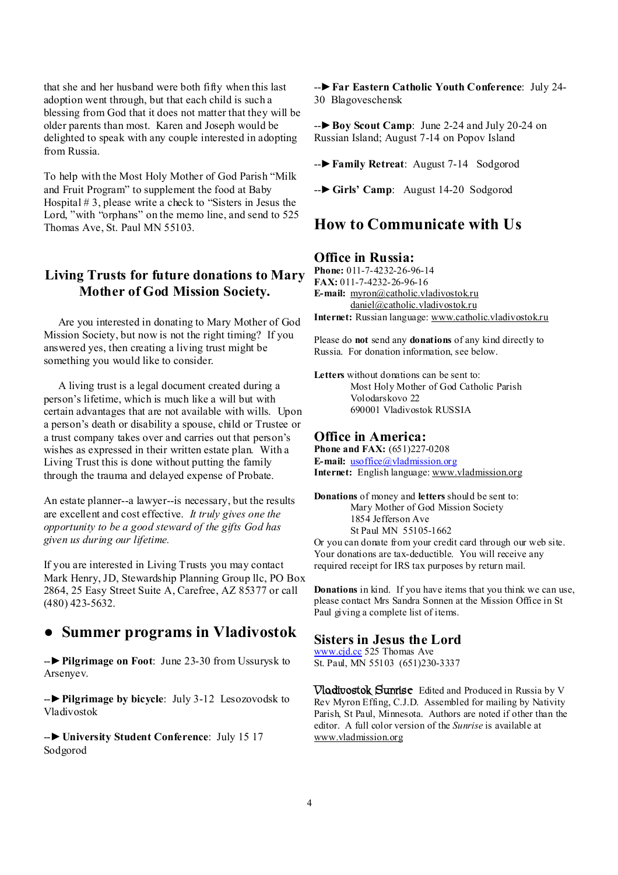that she and her husband were both fifty when this last adoption went through, but that each child is such a blessing from God that it does not matter that they will be older parents than most. Karen and Joseph would be delighted to speak with any couple interested in adopting from Russia.

To help with the Most Holy Mother of God Parish "Milk and Fruit Program" to supplement the food at Baby Hospital # 3, please write a check to "Sisters in Jesus the Lord, "with "orphans" on the memo line, and send to 525 Thomas Ave, St. Paul MN 55103.

## **Living Trusts for future donations to Mary Mother of God Mission Society.**

 Are you interested in donating to Mary Mother of God Mission Society, but now is not the right timing? If you answered yes, then creating a living trust might be something you would like to consider.

 A living trust is a legal document created during a person's lifetime, which is much like a will but with certain advantages that are not available with wills. Upon a person's death or disability a spouse, child or Trustee or a trust company takes over and carries out that person's wishes as expressed in their written estate plan. With a Living Trust this is done without putting the family through the trauma and delayed expense of Probate.

An estate planner--a lawyer--is necessary, but the results are excellent and cost effective. *It truly gives one the opportunity to be a good steward of the gifts God has given us during our lifetime.*

If you are interested in Living Trusts you may contact Mark Henry, JD, Stewardship Planning Group llc, PO Box 2864, 25 Easy Street Suite A, Carefree, AZ 85377 or call (480) 423-5632.

## ● **Summer programs in Vladivostok**

--►**Pilgrimage on Foot**: June 23-30 from Ussurysk to Arsenyev.

--►**Pilgrimage by bicycle**: July 3-12 Lesozovodsk to Vladivostok

--►**University Student Conference**: July 15 17 Sodgorod

--►**Far Eastern Catholic Youth Conference**: July 24- 30 Blagoveschensk

--►**Boy Scout Camp**: June 2-24 and July 20-24 on Russian Island; August 7-14 on Popov Island

--►**Family Retreat**: August 7-14 Sodgorod

--►**Girls' Camp**: August 14-20 Sodgorod

## **How to Communicate with Us**

#### **Office in Russia:**

**Phone:** 011-7-4232-26-96-14 **FAX:** 011-7-4232-26-96-16 E-mail: myron@catholic.vladivostokru [daniel@catholic.vladivostok.ru](mailto:daniel@catholic.vladivostok.ru) **Internet:** Russian language: [www.catholic.vladivostok.ru](http://www.catholic.vladivostok.ru)

Please do **not** send any **donations** of any kind directly to Russia. For donation information, see below.

**Letters** without donations can be sent to: Most Holy Mother of God Catholic Parish Volodarskovo 22 690001 Vladivostok RUSSIA

#### **Office in America:**

**Phone and FAX:** (651)227-0208 **E-mail:** [usoffice@vladmission.org](mailto:usoffice@vladmission.org) **Internet:** English language: [www.vladmission.org](http://www.vladmission.org)

**Donations** of money and **letters** should be sent to: Mary Mother of God Mission Society 1854 Jefferson Ave St Paul MN 55105-1662 Or you can donate from your credit card through our web site.

Your donations are tax-deductible. You will receive any required receipt for IRS tax purposes by return mail.

**Donations** in kind. If you have items that you think we can use, please contact Mrs Sandra Sonnen at the Mission Office in St Paul giving a complete list of items.

#### **Sisters in Jesus the Lord**

[www.cjd.cc](http://www.cjd.cc) 525 Thomas Ave St. Paul, MN 55103 (651)230-3337

**Vladivostok Sunrise** Edited and Produced in Russia by V Rev Myron Effing, C.J.D. Assembled for mailing by Nativity Parish, St Paul, Minnesota. Authors are noted if other than the editor. A full color version of the *Sunrise* is available at [www.vladmission.org](http://www.vladmission.org)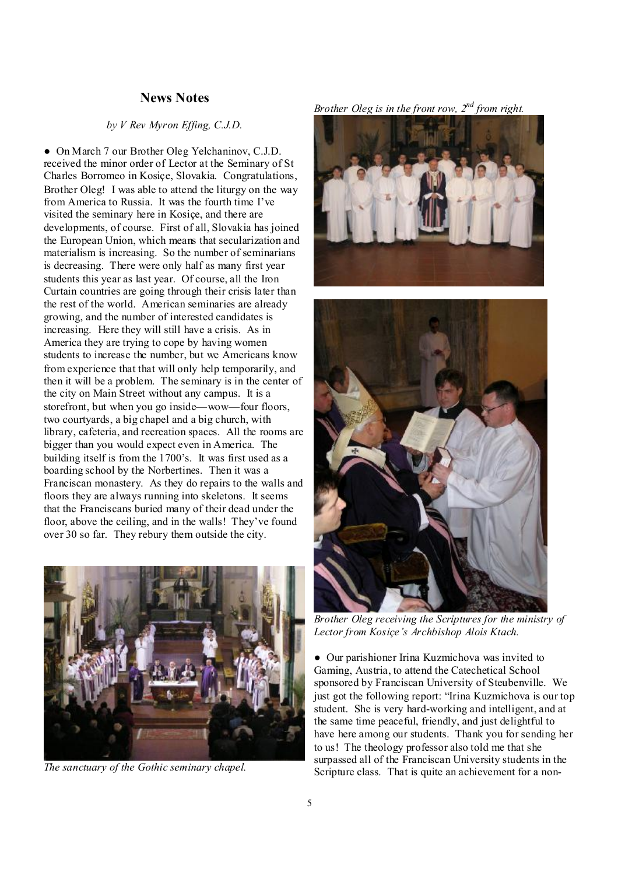### **News Notes**

#### *by V Rev Myron Effing, C.J.D.*

● On March 7 our Brother Oleg Yelchaninov, C.J.D. received the minor order of Lector at the Seminary of St Charles Borromeo in Kosiçe, Slovakia. Congratulations, Brother Oleg! I was able to attend the liturgy on the way from America to Russia. It was the fourth time I've visited the seminary here in Kosiçe, and there are developments, of course. First of all, Slovakia has joined the European Union, which means that secularization and materialism is increasing. So the number of seminarians is decreasing. There were only half as many first year students this year as last year. Of course, all the Iron Curtain countries are going through their crisis later than the rest of the world. American seminaries are already growing, and the number of interested candidates is increasing. Here they will still have a crisis. As in America they are trying to cope by having women students to increase the number, but we Americans know from experience that that will only help temporarily, and then it will be a problem. The seminary is in the center of the city on Main Street without any campus. It is a storefront, but when you go inside—wow—four floors, two courtyards, a big chapel and a big church, with library, cafeteria, and recreation spaces. All the rooms are bigger than you would expect even in America. The building itself is from the 1700's. It was first used as a boarding school by the Norbertines. Then it was a Franciscan monastery. As they do repairs to the walls and floors they are always running into skeletons. It seems that the Franciscans buried many of their dead under the floor, above the ceiling, and in the walls! They've found over 30 so far. They rebury them outside the city.



*The sanctuary of the Gothic seminary chapel.* 

*Brother Oleg is in the front row, 2nd from right.* 





*Brother Oleg receiving the Scriptures for the ministry of Lector from Kosiçe's Archbishop Alois Ktach.* 

● Our parishioner Irina Kuzmichova was invited to Gaming, Austria, to attend the Catechetical School sponsored by Franciscan University of Steubenville. We just got the following report: "Irina Kuzmichova is our top student. She is very hard-working and intelligent, and at the same time peaceful, friendly, and just delightful to have here among our students. Thank you for sending her to us! The theology professor also told me that she surpassed all of the Franciscan University students in the Scripture class. That is quite an achievement for a non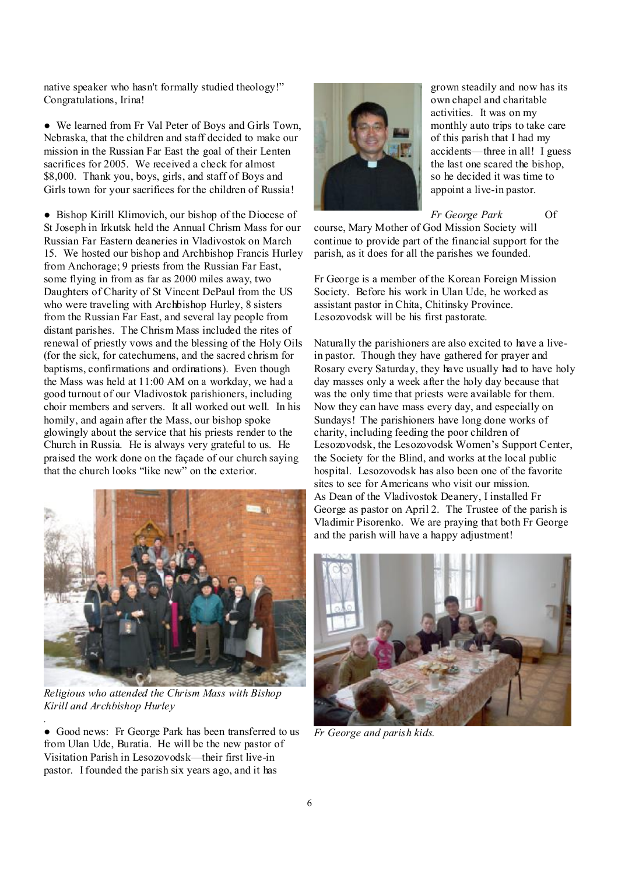native speaker who hasn't formally studied theology!" Congratulations, Irina!

● We learned from Fr Val Peter of Boys and Girls Town, Nebraska, that the children and staff decided to make our mission in the Russian Far East the goal of their Lenten sacrifices for 2005. We received a check for almost \$8,000. Thank you, boys, girls, and staff of Boys and Girls town for your sacrifices for the children of Russia!

● Bishop Kirill Klimovich, our bishop of the Diocese of St Joseph in Irkutsk held the Annual Chrism Mass for our Russian Far Eastern deaneries in Vladivostok on March 15. We hosted our bishop and Archbishop Francis Hurley from Anchorage; 9 priests from the Russian Far East, some flying in from as far as 2000 miles away, two Daughters of Charity of St Vincent DePaul from the US who were traveling with Archbishop Hurley, 8 sisters from the Russian Far East, and several lay people from distant parishes. The Chrism Mass included the rites of renewal of priestly vows and the blessing of the Holy Oils (for the sick, for catechumens, and the sacred chrism for baptisms, confirmations and ordinations). Even though the Mass was held at 11:00 AM on a workday, we had a good turnout of our Vladivostok parishioners, including choir members and servers. It all worked out well. In his homily, and again after the Mass, our bishop spoke glowingly about the service that his priests render to the Church in Russia. He is always very grateful to us. He praised the work done on the façade of our church saying that the church looks "like new" on the exterior.



*Religious who attended the Chrism Mass with Bishop Kirill and Archbishop Hurley* 

*.* 

● Good news: Fr George Park has been transferred to us from Ulan Ude, Buratia. He will be the new pastor of Visitation Parish in Lesozovodsk—their first live-in pastor. I founded the parish six years ago, and it has



grown steadily and now has its own chapel and charitable activities. It was on my monthly auto trips to take care of this parish that I had my accidents—three in all! I guess the last one scared the bishop, so he decided it was time to appoint a live-in pastor.

*Fr George Park* Of

course, Mary Mother of God Mission Society will continue to provide part of the financial support for the parish, as it does for all the parishes we founded.

Fr George is a member of the Korean Foreign Mission Society. Before his work in Ulan Ude, he worked as assistant pastor in Chita, Chitinsky Province. Lesozovodsk will be his first pastorate.

Naturally the parishioners are also excited to have a livein pastor. Though they have gathered for prayer and Rosary every Saturday, they have usually had to have holy day masses only a week after the holy day because that was the only time that priests were available for them. Now they can have mass every day, and especially on Sundays! The parishioners have long done works of charity, including feeding the poor children of Lesozovodsk, the Lesozovodsk Women's Support Center, the Society for the Blind, and works at the local public hospital. Lesozovodsk has also been one of the favorite sites to see for Americans who visit our mission. As Dean of the Vladivostok Deanery, I installed Fr George as pastor on April 2. The Trustee of the parish is Vladimir Pisorenko. We are praying that both Fr George and the parish will have a happy adjustment!



*Fr George and parish kids.*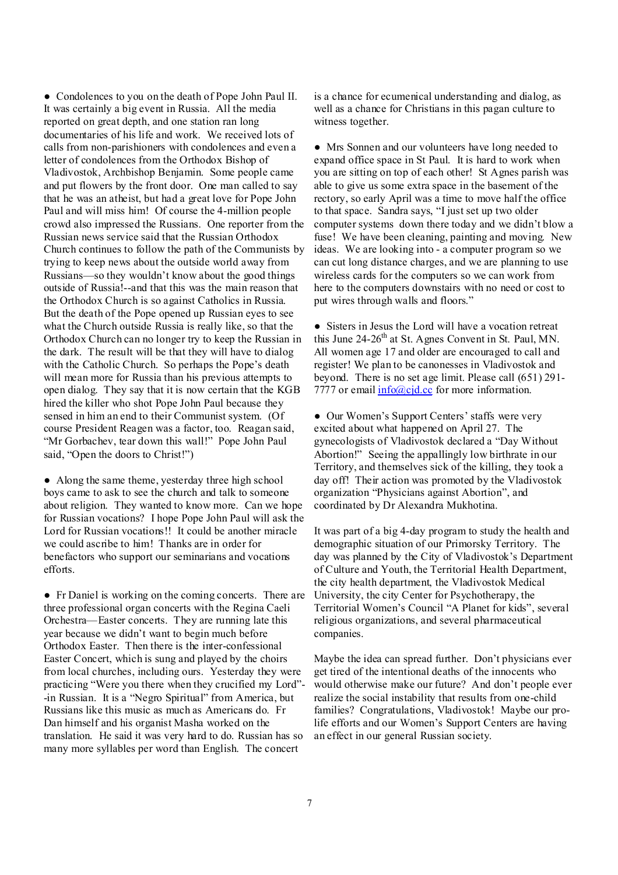● Condolences to you on the death of Pope John Paul II. It was certainly a big event in Russia. All the media reported on great depth, and one station ran long documentaries of his life and work. We received lots of calls from non-parishioners with condolences and even a letter of condolences from the Orthodox Bishop of Vladivostok, Archbishop Benjamin. Some people came and put flowers by the front door. One man called to say that he was an atheist, but had a great love for Pope John Paul and will miss him! Of course the 4-million people crowd also impressed the Russians. One reporter from the Russian news service said that the Russian Orthodox Church continues to follow the path of the Communists by trying to keep news about the outside world away from Russians—so they wouldn't know about the good things outside of Russia!--and that this was the main reason that the Orthodox Church is so against Catholics in Russia. But the death of the Pope opened up Russian eyes to see what the Church outside Russia is really like, so that the Orthodox Church can no longer try to keep the Russian in the dark. The result will be that they will have to dialog with the Catholic Church. So perhaps the Pope's death will mean more for Russia than his previous attempts to open dialog. They say that it is now certain that the KGB hired the killer who shot Pope John Paul because they sensed in him an end to their Communist system. (Of course President Reagen was a factor, too. Reagan said, "Mr Gorbachev, tear down this wall!" Pope John Paul said, "Open the doors to Christ!")

• Along the same theme, yesterday three high school boys came to ask to see the church and talk to someone about religion. They wanted to know more. Can we hope for Russian vocations? I hope Pope John Paul will ask the Lord for Russian vocations!! It could be another miracle we could ascribe to him! Thanks are in order for benefactors who support our seminarians and vocations efforts.

● Fr Daniel is working on the coming concerts. There are three professional organ concerts with the Regina Caeli Orchestra—Easter concerts. They are running late this year because we didn't want to begin much before Orthodox Easter. Then there is the inter-confessional Easter Concert, which is sung and played by the choirs from local churches, including ours. Yesterday they were practicing "Were you there when they crucified my Lord"- -in Russian. It is a "Negro Spiritual" from America, but Russians like this music as much as Americans do. Fr Dan himself and his organist Masha worked on the translation. He said it was very hard to do. Russian has so many more syllables per word than English. The concert

is a chance for ecumenical understanding and dialog, as well as a chance for Christians in this pagan culture to witness together.

● Mrs Sonnen and our volunteers have long needed to expand office space in St Paul. It is hard to work when you are sitting on top of each other! St Agnes parish was able to give us some extra space in the basement of the rectory, so early April was a time to move half the office to that space. Sandra says, "I just set up two older computer systems down there today and we didn't blow a fuse! We have been cleaning, painting and moving. New ideas. We are looking into - a computer program so we can cut long distance charges, and we are planning to use wireless cards for the computers so we can work from here to the computers downstairs with no need or cost to put wires through walls and floors."

• Sisters in Jesus the Lord will have a vocation retreat this June  $24-26<sup>th</sup>$  at St. Agnes Convent in St. Paul, MN. All women age 17 and older are encouraged to call and register! We plan to be canonesses in Vladivostok and beyond. There is no set age limit. Please call (651) 291- 7777 or email  $info@cjd$ .cc for more information.

● Our Women's Support Centers' staffs were very excited about what happened on April 27. The gynecologists of Vladivostok declared a "Day Without Abortion!" Seeing the appallingly low birthrate in our Territory, and themselves sick of the killing, they took a day off! Their action was promoted by the Vladivostok organization "Physicians against Abortion", and coordinated by Dr Alexandra Mukhotina.

It was part of a big 4-day program to study the health and demographic situation of our Primorsky Territory. The day was planned by the City of Vladivostok's Department of Culture and Youth, the Territorial Health Department, the city health department, the Vladivostok Medical University, the city Center for Psychotherapy, the Territorial Women's Council "A Planet for kids", several religious organizations, and several pharmaceutical companies.

Maybe the idea can spread further. Don't physicians ever get tired of the intentional deaths of the innocents who would otherwise make our future? And don't people ever realize the social instability that results from one-child families? Congratulations, Vladivostok! Maybe our prolife efforts and our Women's Support Centers are having an effect in our general Russian society.